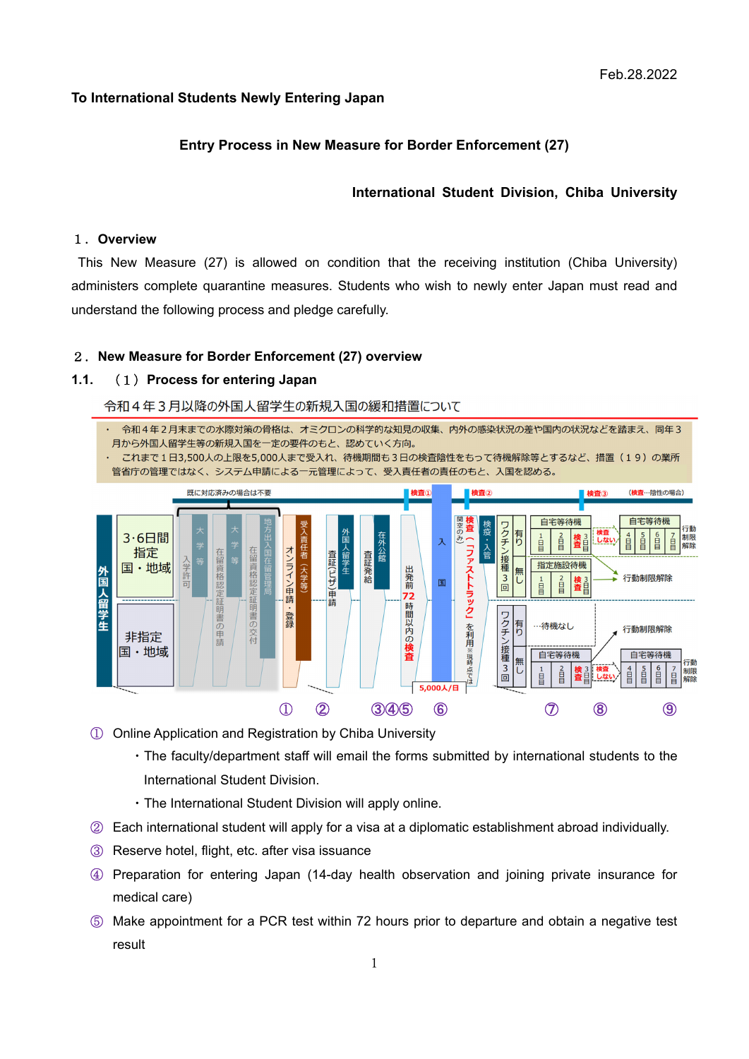## **To International Students Newly Entering Japan**

## **Entry Process in New Measure for Border Enforcement (27)**

## **International Student Division, Chiba University**

#### 1.**Overview**

This New Measure (27) is allowed on condition that the receiving institution (Chiba University) administers complete quarantine measures. Students who wish to newly enter Japan must read and understand the following process and pledge carefully.

#### 2.**New Measure for Border Enforcement (27) overview**

### **1.1.** (1)**Process for entering Japan**

#### 令和4年3月以降の外国人留学生の新規入国の緩和措置について



- ① Online Application and Registration by Chiba University
	- ・The faculty/department staff will email the forms submitted by international students to the International Student Division.
	- ・The International Student Division will apply online.
- ② Each international student will apply for a visa at a diplomatic establishment abroad individually.
- ③ Reserve hotel, flight, etc. after visa issuance
- ④ Preparation for entering Japan (14-day health observation and joining private insurance for medical care)
- ⑤ Make appointment for a PCR test within 72 hours prior to departure and obtain a negative test result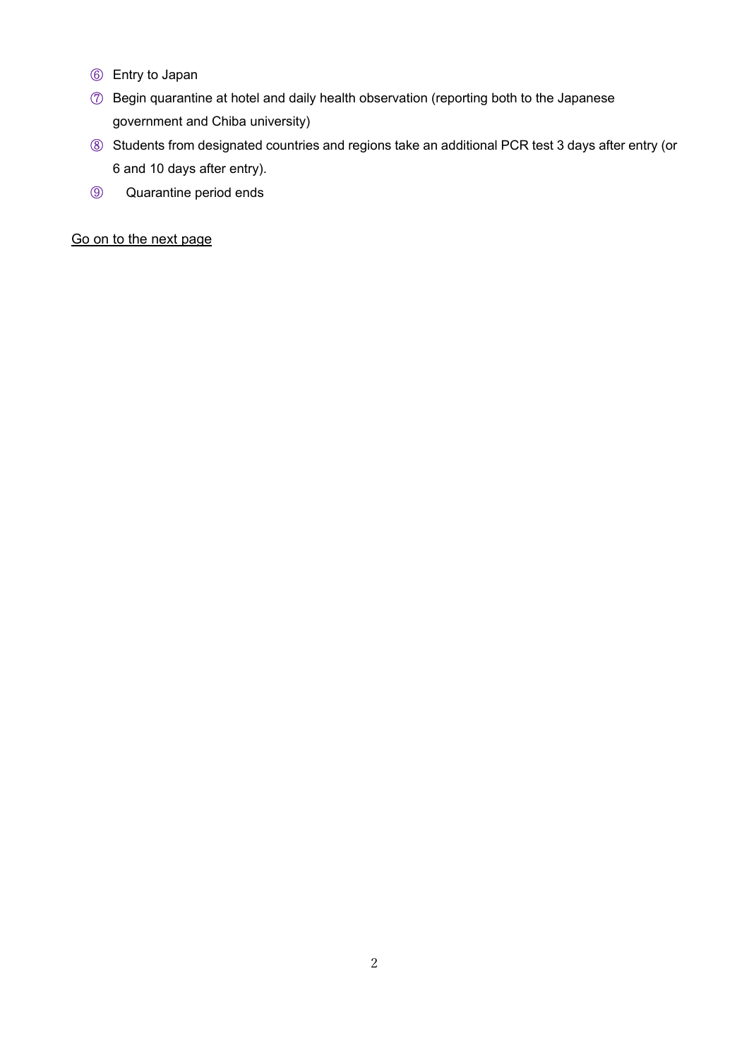- Entry to Japan
- Begin quarantine at hotel and daily health observation (reporting both to the Japanese government and Chiba university)
- Students from designated countries and regions take an additional PCR test 3 days after entry (or 6 and 10 days after entry).
- Quarantine period ends

Go on to the next page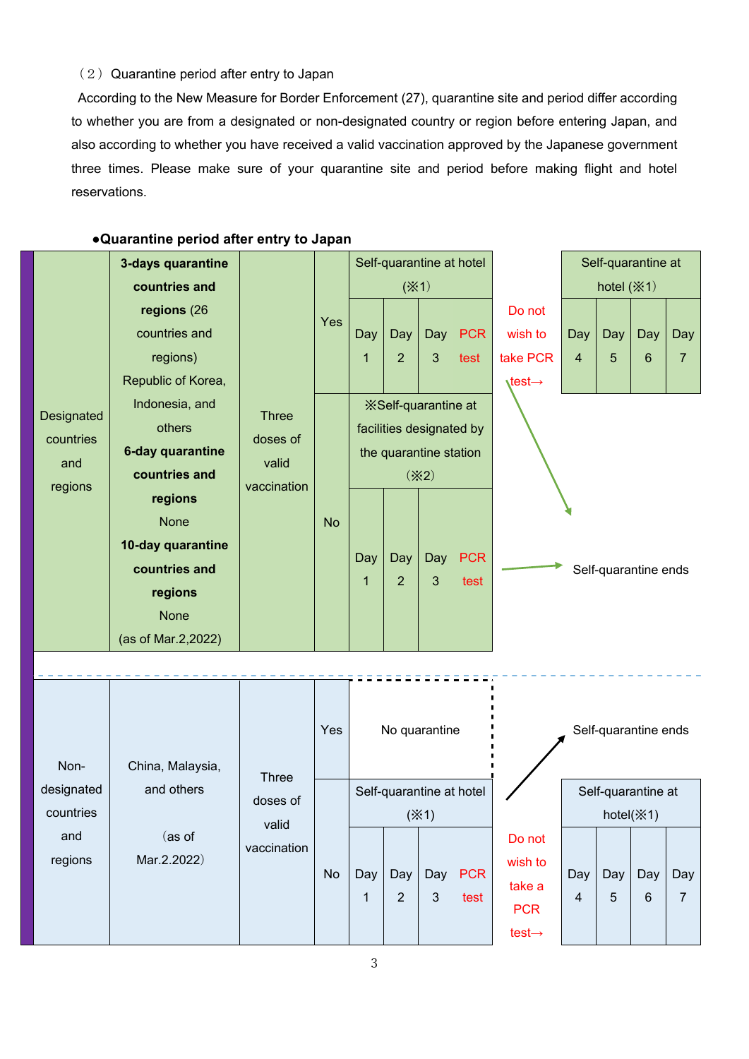## $(2)$  Quarantine period after entry to Japan

According to the New Measure for Border Enforcement (27), quarantine site and period differ according to whether you are from a designated or non-designated country or region before entering Japan, and also according to whether you have received a valid vaccination approved by the Japanese government three times. Please make sure of your quarantine site and period before making flight and hotel reservations.

|                | 3-days quarantine  |                                  |           |                             |                       | Self-quarantine at hotel |                          | Self-quarantine at             |                      |                    |                |                |
|----------------|--------------------|----------------------------------|-----------|-----------------------------|-----------------------|--------------------------|--------------------------|--------------------------------|----------------------|--------------------|----------------|----------------|
|                | countries and      |                                  | Yes       | (X <sup>1</sup> )           |                       |                          | hotel $(\times 1)$       |                                |                      |                    |                |                |
|                | regions (26        |                                  |           |                             |                       |                          |                          | Do not                         |                      |                    |                |                |
|                | countries and      |                                  |           | Day                         | Day                   |                          | Day PCR                  | wish to                        | Day                  | Day                | Day            | <b>Day</b>     |
|                | regions)           |                                  |           | 1                           | $\overline{2}$        | $\mathbf{3}$             | test                     | take PCR                       | $\overline{4}$       | 5                  | $6\phantom{1}$ | $\overline{7}$ |
|                | Republic of Korea, |                                  |           |                             |                       |                          |                          | $\setminus$ test $\rightarrow$ |                      |                    |                |                |
|                | Indonesia, and     |                                  |           | <b>X</b> Self-quarantine at |                       |                          |                          |                                |                      |                    |                |                |
| Designated     | others             | <b>Three</b>                     |           | facilities designated by    |                       |                          |                          |                                |                      |                    |                |                |
| countries      | 6-day quarantine   | doses of<br>valid<br>vaccination |           | the quarantine station      |                       |                          |                          |                                |                      |                    |                |                |
| and<br>regions | countries and      |                                  | <b>No</b> | $(\times 2)$                |                       |                          |                          |                                |                      |                    |                |                |
|                | regions            |                                  |           |                             |                       |                          |                          |                                |                      |                    |                |                |
|                | <b>None</b>        |                                  |           |                             |                       |                          |                          |                                |                      |                    |                |                |
|                | 10-day quarantine  |                                  |           |                             | Day<br>$\overline{2}$ | Day<br>$\mathbf{3}$      | <b>PCR</b><br>test       |                                |                      |                    |                |                |
|                | countries and      |                                  |           | Day                         |                       |                          |                          |                                | Self-quarantine ends |                    |                |                |
|                | regions            |                                  |           | 1                           |                       |                          |                          |                                |                      |                    |                |                |
|                | <b>None</b>        |                                  |           |                             |                       |                          |                          |                                |                      |                    |                |                |
|                | (as of Mar.2,2022) |                                  |           |                             |                       |                          |                          |                                |                      |                    |                |                |
|                |                    |                                  |           |                             |                       |                          |                          |                                |                      |                    |                |                |
|                |                    |                                  |           |                             |                       |                          |                          |                                |                      |                    |                |                |
|                |                    |                                  |           |                             |                       |                          |                          |                                |                      |                    |                |                |
|                |                    |                                  | Yes       | No quarantine               |                       |                          | Self-quarantine ends     |                                |                      |                    |                |                |
| Non-           | China, Malaysia,   |                                  |           |                             |                       |                          |                          |                                |                      |                    |                |                |
| hatennisah     | and others         | <b>Three</b>                     |           |                             |                       |                          | Colf guaranting of botal |                                |                      | Calf quaranting of |                |                |

## **●Quarantine period after entry to Japan**

| Non-                    | China, Malaysia,                    | <b>Three</b>                     | Yes       |          |                       | No quarantine                            |                    |                                                                 |                                          |          | Self-quarantine ends |     |
|-------------------------|-------------------------------------|----------------------------------|-----------|----------|-----------------------|------------------------------------------|--------------------|-----------------------------------------------------------------|------------------------------------------|----------|----------------------|-----|
| designated<br>countries | and others<br>(as of<br>Mar.2.2022) | doses of<br>valid<br>vaccination |           |          |                       | Self-quarantine at hotel<br>$(\times 1)$ |                    |                                                                 | Self-quarantine at<br>hotel $(\times 1)$ |          |                      |     |
| and<br>regions          |                                     |                                  | <b>No</b> | Day<br>1 | Day<br>$\overline{2}$ | Day<br>3                                 | <b>PCR</b><br>test | Do not<br>wish to<br>take a<br><b>PCR</b><br>test $\rightarrow$ | Day<br>$\overline{4}$                    | Day<br>5 | Day<br>6             | Day |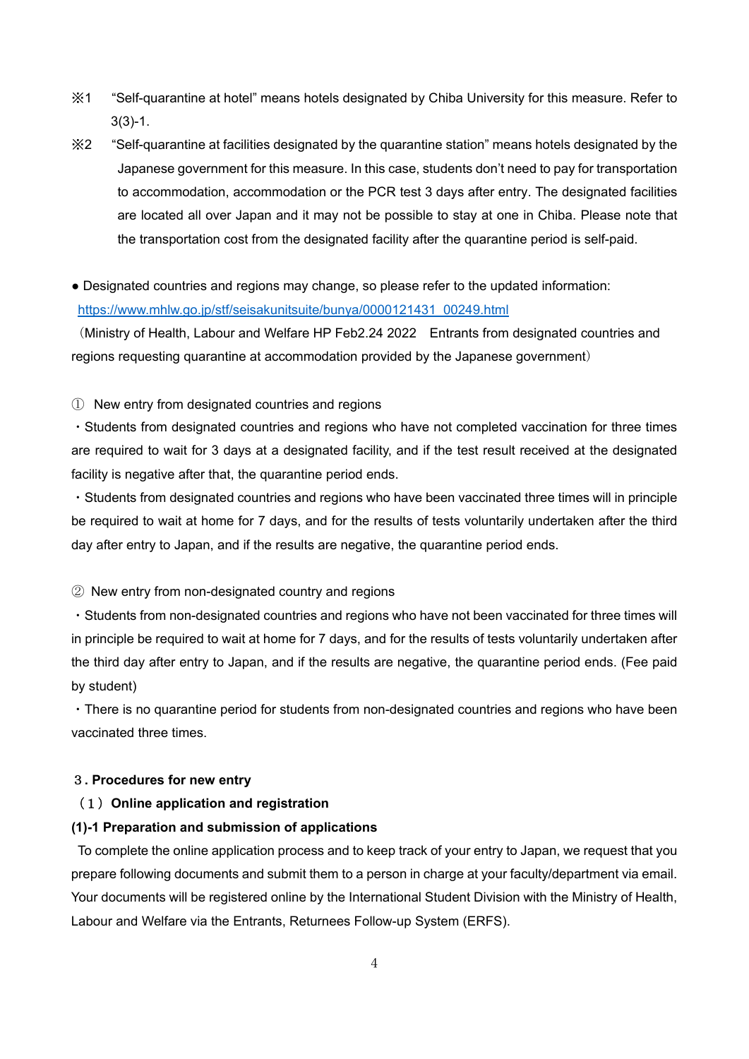- ※1 "Self-quarantine at hotel" means hotels designated by Chiba University for this measure. Refer to 3(3)-1.
- ※2 "Self-quarantine at facilities designated by the quarantine station" means hotels designated by the Japanese government for this measure. In this case, students don't need to pay for transportation to accommodation, accommodation or the PCR test 3 days after entry. The designated facilities are located all over Japan and it may not be possible to stay at one in Chiba. Please note that the transportation cost from the designated facility after the quarantine period is self-paid.
- Designated countries and regions may change, so please refer to the updated information: https://www.mhlw.go.jp/stf/seisakunitsuite/bunya/0000121431\_00249.html

(Ministry of Health, Labour and Welfare HP Feb2.24 2022 Entrants from designated countries and regions requesting quarantine at accommodation provided by the Japanese government)

① New entry from designated countries and regions

・Students from designated countries and regions who have not completed vaccination for three times are required to wait for 3 days at a designated facility, and if the test result received at the designated facility is negative after that, the quarantine period ends.

・Students from designated countries and regions who have been vaccinated three times will in principle be required to wait at home for 7 days, and for the results of tests voluntarily undertaken after the third day after entry to Japan, and if the results are negative, the quarantine period ends.

② New entry from non-designated country and regions

・Students from non-designated countries and regions who have not been vaccinated for three times will in principle be required to wait at home for 7 days, and for the results of tests voluntarily undertaken after the third day after entry to Japan, and if the results are negative, the quarantine period ends. (Fee paid by student)

・There is no quarantine period for students from non-designated countries and regions who have been vaccinated three times.

#### 3**. Procedures for new entry**

# (1)**Online application and registration**

#### **(1)-1 Preparation and submission of applications**

To complete the online application process and to keep track of your entry to Japan, we request that you prepare following documents and submit them to a person in charge at your faculty/department via email. Your documents will be registered online by the International Student Division with the Ministry of Health, Labour and Welfare via the Entrants, Returnees Follow-up System (ERFS).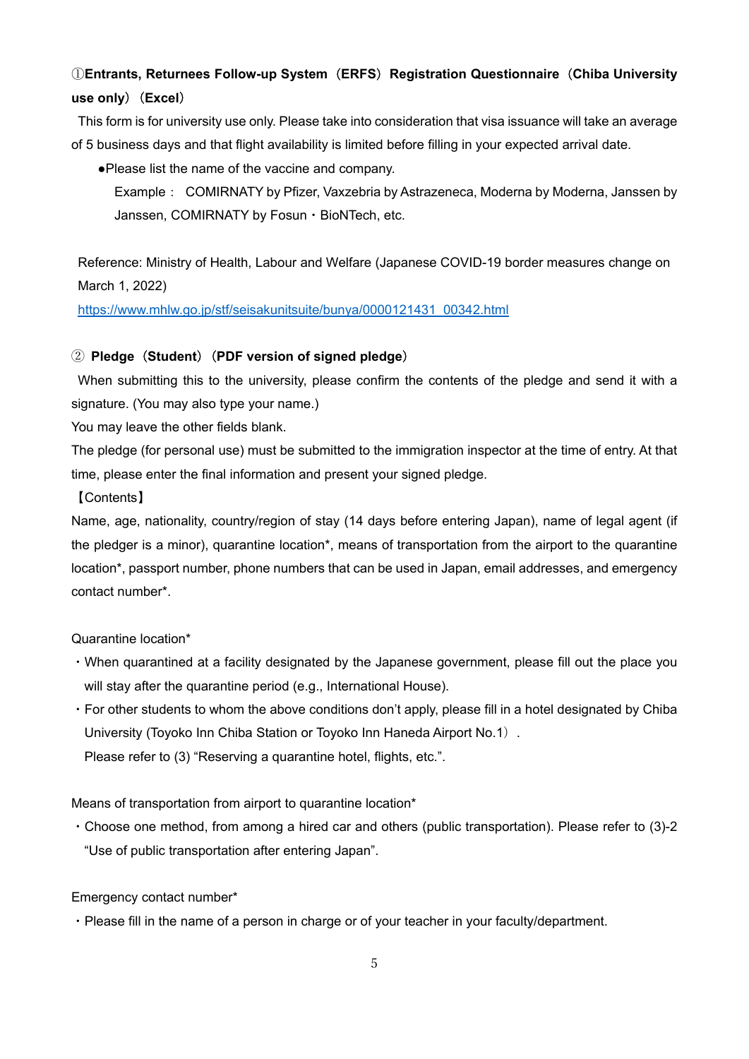# ①**Entrants, Returnees Follow-up System**(**ERFS**)**Registration Questionnaire**(**Chiba University use only**)(**Excel**)

This form is for university use only. Please take into consideration that visa issuance will take an average of 5 business days and that flight availability is limited before filling in your expected arrival date.

●Please list the name of the vaccine and company.

Example: COMIRNATY by Pfizer, Vaxzebria by Astrazeneca, Moderna by Moderna, Janssen by Janssen, COMIRNATY by Fosun・BioNTech, etc.

Reference: Ministry of Health, Labour and Welfare (Japanese COVID-19 border measures change on March 1, 2022)

https://www.mhlw.go.jp/stf/seisakunitsuite/bunya/0000121431\_00342.html

# ② **Pledge**(**Student**)(**PDF version of signed pledge**)

When submitting this to the university, please confirm the contents of the pledge and send it with a signature. (You may also type your name.)

You may leave the other fields blank.

The pledge (for personal use) must be submitted to the immigration inspector at the time of entry. At that time, please enter the final information and present your signed pledge.

# 【Contents】

Name, age, nationality, country/region of stay (14 days before entering Japan), name of legal agent (if the pledger is a minor), quarantine location\*, means of transportation from the airport to the quarantine location\*, passport number, phone numbers that can be used in Japan, email addresses, and emergency contact number\*.

## Quarantine location\*

- ・When quarantined at a facility designated by the Japanese government, please fill out the place you will stay after the quarantine period (e.g., International House).
- ・For other students to whom the above conditions don't apply, please fill in a hotel designated by Chiba University (Toyoko Inn Chiba Station or Toyoko Inn Haneda Airport No.1). Please refer to (3) "Reserving a quarantine hotel, flights, etc.".

Means of transportation from airport to quarantine location\*

・Choose one method, from among a hired car and others (public transportation). Please refer to (3)-2 "Use of public transportation after entering Japan".

# Emergency contact number\*

・Please fill in the name of a person in charge or of your teacher in your faculty/department.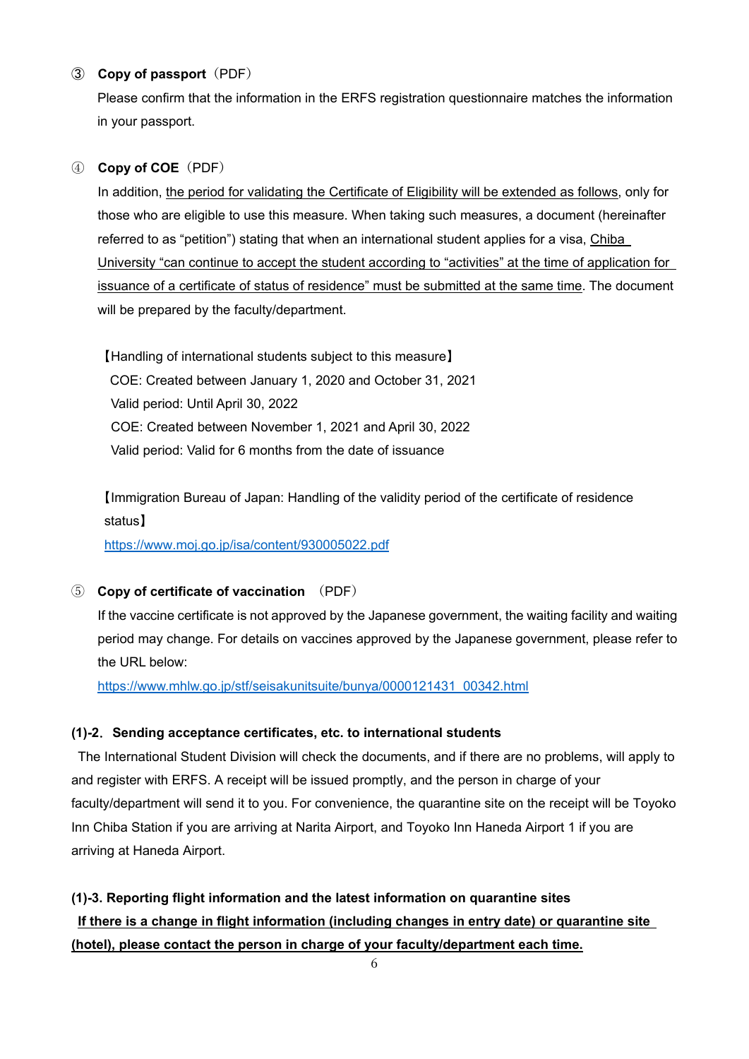# ③ **Copy of passport**(PDF)

Please confirm that the information in the ERFS registration questionnaire matches the information in your passport.

# ④ **Copy of COE**(PDF)

In addition, the period for validating the Certificate of Eligibility will be extended as follows, only for those who are eligible to use this measure. When taking such measures, a document (hereinafter referred to as "petition") stating that when an international student applies for a visa, Chiba University "can continue to accept the student according to "activities" at the time of application for issuance of a certificate of status of residence" must be submitted at the same time. The document will be prepared by the faculty/department.

【Handling of international students subject to this measure】 COE: Created between January 1, 2020 and October 31, 2021 Valid period: Until April 30, 2022 COE: Created between November 1, 2021 and April 30, 2022 Valid period: Valid for 6 months from the date of issuance

【Immigration Bureau of Japan: Handling of the validity period of the certificate of residence status】

https://www.moj.go.jp/isa/content/930005022.pdf

# ⑤ **Copy of certificate of vaccination** (PDF)

If the vaccine certificate is not approved by the Japanese government, the waiting facility and waiting period may change. For details on vaccines approved by the Japanese government, please refer to the URL below:

https://www.mhlw.go.jp/stf/seisakunitsuite/bunya/0000121431\_00342.html

# **(1)-2**.**Sending acceptance certificates, etc. to international students**

The International Student Division will check the documents, and if there are no problems, will apply to and register with ERFS. A receipt will be issued promptly, and the person in charge of your faculty/department will send it to you. For convenience, the quarantine site on the receipt will be Toyoko Inn Chiba Station if you are arriving at Narita Airport, and Toyoko Inn Haneda Airport 1 if you are arriving at Haneda Airport.

# **(1)-3. Reporting flight information and the latest information on quarantine sites If there is a change in flight information (including changes in entry date) or quarantine site (hotel), please contact the person in charge of your faculty/department each time.**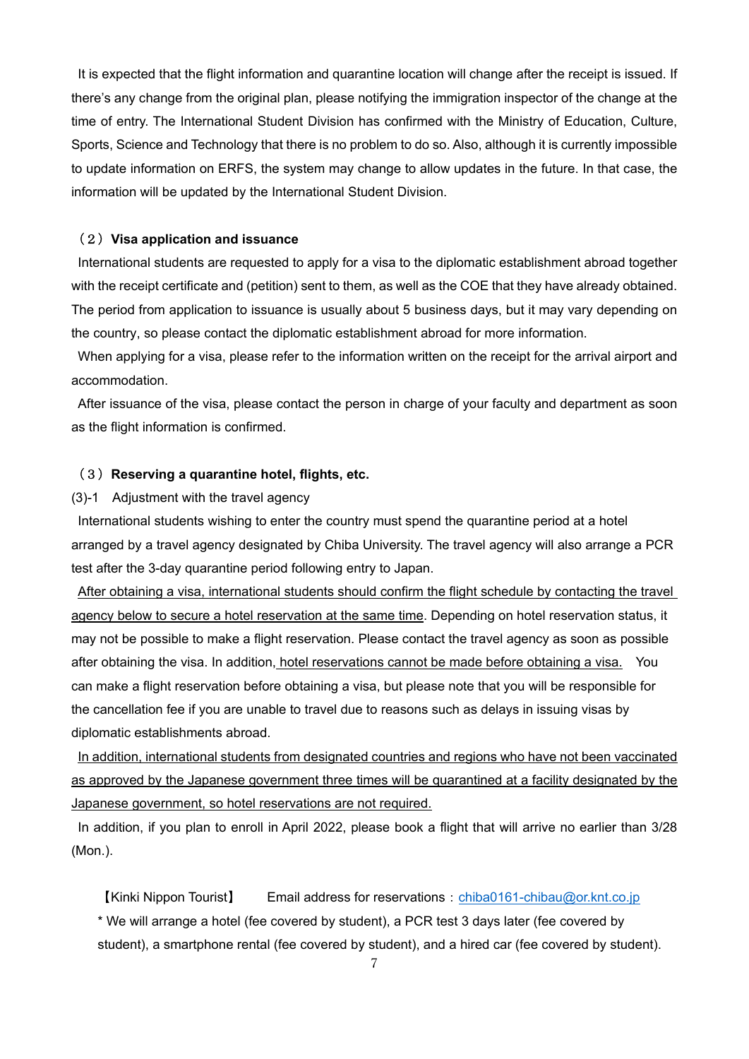It is expected that the flight information and quarantine location will change after the receipt is issued. If there's any change from the original plan, please notifying the immigration inspector of the change at the time of entry. The International Student Division has confirmed with the Ministry of Education, Culture, Sports, Science and Technology that there is no problem to do so. Also, although it is currently impossible to update information on ERFS, the system may change to allow updates in the future. In that case, the information will be updated by the International Student Division.

#### (2)**Visa application and issuance**

International students are requested to apply for a visa to the diplomatic establishment abroad together with the receipt certificate and (petition) sent to them, as well as the COE that they have already obtained. The period from application to issuance is usually about 5 business days, but it may vary depending on the country, so please contact the diplomatic establishment abroad for more information.

When applying for a visa, please refer to the information written on the receipt for the arrival airport and accommodation.

After issuance of the visa, please contact the person in charge of your faculty and department as soon as the flight information is confirmed.

## (3)**Reserving a quarantine hotel, flights, etc.**

## (3)-1 Adjustment with the travel agency

International students wishing to enter the country must spend the quarantine period at a hotel arranged by a travel agency designated by Chiba University. The travel agency will also arrange a PCR test after the 3-day quarantine period following entry to Japan.

After obtaining a visa, international students should confirm the flight schedule by contacting the travel agency below to secure a hotel reservation at the same time. Depending on hotel reservation status, it may not be possible to make a flight reservation. Please contact the travel agency as soon as possible after obtaining the visa. In addition, hotel reservations cannot be made before obtaining a visa. You can make a flight reservation before obtaining a visa, but please note that you will be responsible for the cancellation fee if you are unable to travel due to reasons such as delays in issuing visas by diplomatic establishments abroad.

In addition, international students from designated countries and regions who have not been vaccinated as approved by the Japanese government three times will be quarantined at a facility designated by the Japanese government, so hotel reservations are not required.

In addition, if you plan to enroll in April 2022, please book a flight that will arrive no earlier than 3/28 (Mon.).

【Kinki Nippon Tourist】 Email address for reservations:chiba0161-chibau@or.knt.co.jp \* We will arrange a hotel (fee covered by student), a PCR test 3 days later (fee covered by student), a smartphone rental (fee covered by student), and a hired car (fee covered by student).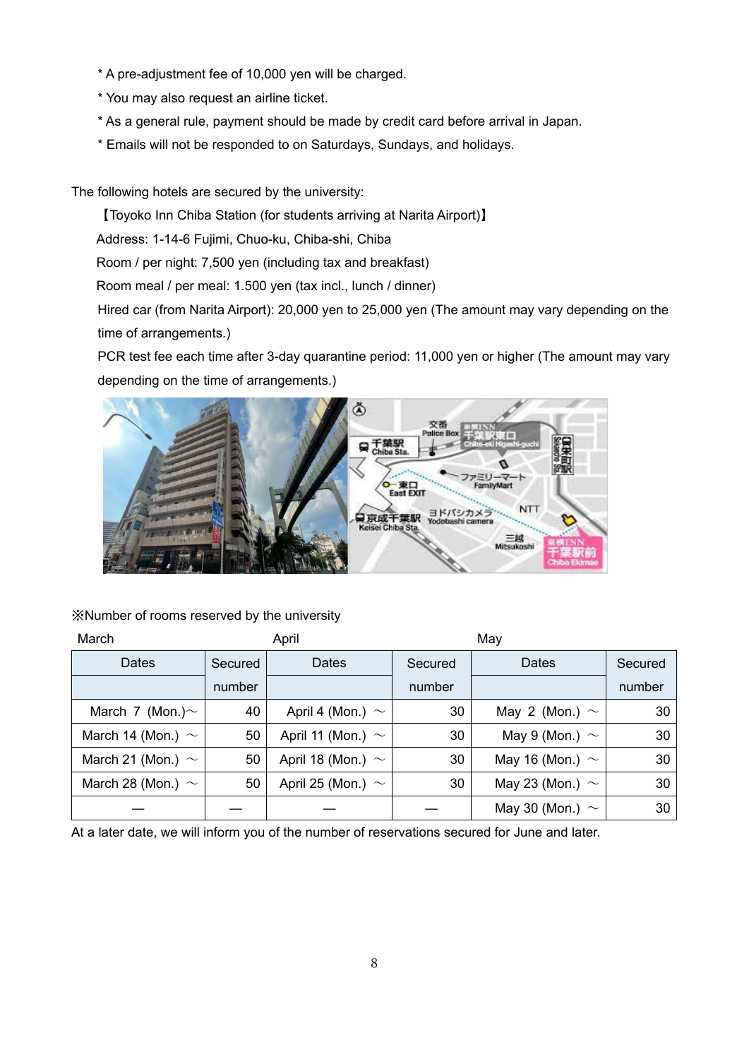- \* A pre-adjustment fee of 10,000 yen will be charged.
- \* You may also request an airline ticket.
- \* As a general rule, payment should be made by credit card before arrival in Japan.
- \* Emails will not be responded to on Saturdays, Sundays, and holidays.

The following hotels are secured by the university:

【Toyoko Inn Chiba Station (for students arriving at Narita Airport)】

Address: 1-14-6 Fujimi, Chuo-ku, Chiba-shi, Chiba

Room / per night: 7,500 yen (including tax and breakfast)

Room meal / per meal: 1.500 yen (tax incl., lunch / dinner)

Hired car (from Narita Airport): 20,000 yen to 25,000 yen (The amount may vary depending on the time of arrangements.)

PCR test fee each time after 3-day quarantine period: 11,000 yen or higher (The amount may vary depending on the time of arrangements.)



※Number of rooms reserved by the university

| March                  |         | April                  |         |                      |         |
|------------------------|---------|------------------------|---------|----------------------|---------|
| Dates                  | Secured | Dates                  | Secured | Dates                | Secured |
|                        | number  |                        | number  |                      | number  |
| March 7 (Mon.) $\sim$  | 40      | April 4 (Mon.) $\sim$  | 30      | May 2 (Mon.) $\sim$  | 30      |
| March 14 (Mon.) $\sim$ | 50      | April 11 (Mon.) $\sim$ | 30      | May 9 (Mon.) $\sim$  | 30      |
| March 21 (Mon.) $\sim$ | 50      | April 18 (Mon.) $\sim$ | 30      | May 16 (Mon.) $\sim$ | 30      |
| March 28 (Mon.) $\sim$ | 50      | April 25 (Mon.) $\sim$ | 30      | May 23 (Mon.) $\sim$ | 30      |
|                        |         |                        |         | May 30 (Mon.) $\sim$ | 30      |

At a later date, we will inform you of the number of reservations secured for June and later.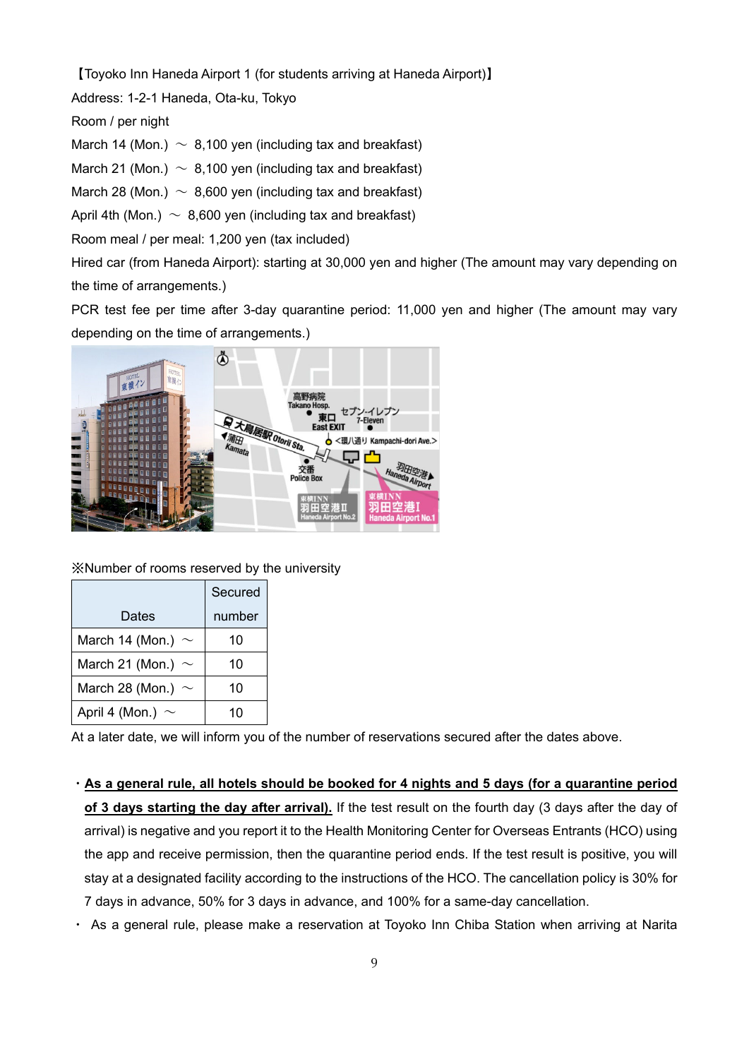【Toyoko Inn Haneda Airport 1 (for students arriving at Haneda Airport)】

Address: 1-2-1 Haneda, Ota-ku, Tokyo

Room / per night

March 14 (Mon.)  $\sim 8,100$  yen (including tax and breakfast)

March 21 (Mon.)  $\sim 8,100$  yen (including tax and breakfast)

March 28 (Mon.)  $\sim 8,600$  yen (including tax and breakfast)

April 4th (Mon.)  $\sim 8.600$  ven (including tax and breakfast)

Room meal / per meal: 1,200 yen (tax included)

Hired car (from Haneda Airport): starting at 30,000 yen and higher (The amount may vary depending on the time of arrangements.)

PCR test fee per time after 3-day quarantine period: 11,000 yen and higher (The amount may vary depending on the time of arrangements.)



※Number of rooms reserved by the university

|                        | Secured |
|------------------------|---------|
| Dates                  | number  |
| March 14 (Mon.) $\sim$ | 10      |
| March 21 (Mon.) $\sim$ | 10      |
| March 28 (Mon.) $\sim$ | 10      |
| April 4 (Mon.) $\sim$  | 10      |

At a later date, we will inform you of the number of reservations secured after the dates above.

・**As a general rule, all hotels should be booked for 4 nights and 5 days (for a quarantine period of 3 days starting the day after arrival).** If the test result on the fourth day (3 days after the day of arrival) is negative and you report it to the Health Monitoring Center for Overseas Entrants (HCO) using the app and receive permission, then the quarantine period ends. If the test result is positive, you will stay at a designated facility according to the instructions of the HCO. The cancellation policy is 30% for 7 days in advance, 50% for 3 days in advance, and 100% for a same-day cancellation.

・ As a general rule, please make a reservation at Toyoko Inn Chiba Station when arriving at Narita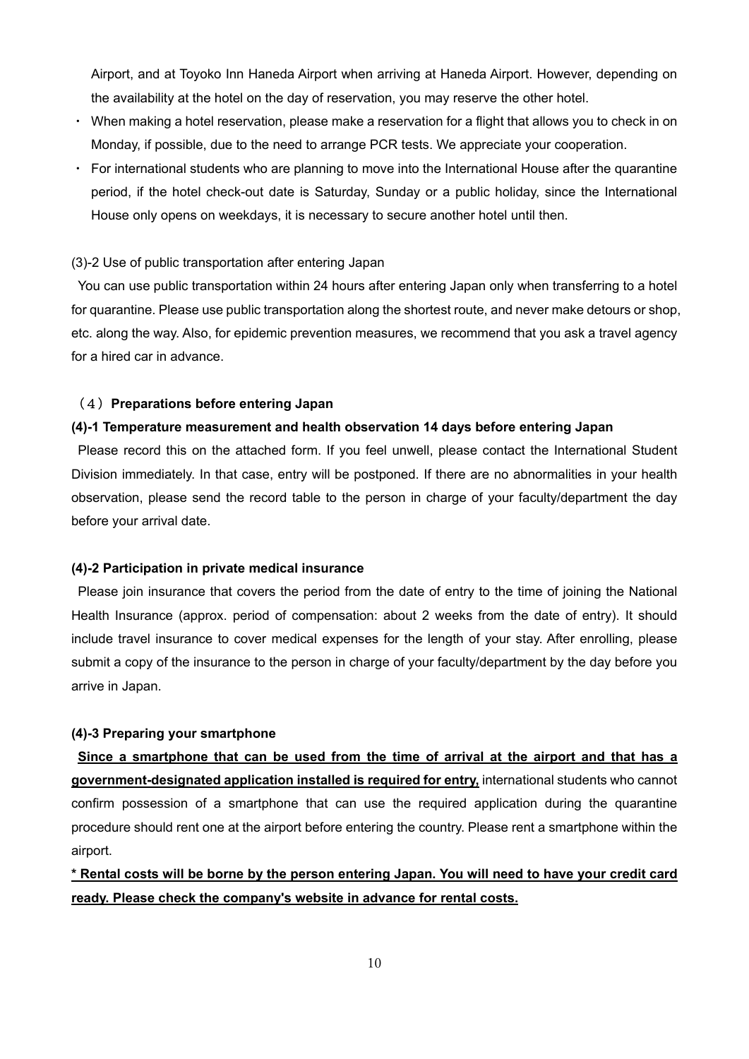Airport, and at Toyoko Inn Haneda Airport when arriving at Haneda Airport. However, depending on the availability at the hotel on the day of reservation, you may reserve the other hotel.

- ・ When making a hotel reservation, please make a reservation for a flight that allows you to check in on Monday, if possible, due to the need to arrange PCR tests. We appreciate your cooperation.
- ・ For international students who are planning to move into the International House after the quarantine period, if the hotel check-out date is Saturday, Sunday or a public holiday, since the International House only opens on weekdays, it is necessary to secure another hotel until then.

#### (3)-2 Use of public transportation after entering Japan

You can use public transportation within 24 hours after entering Japan only when transferring to a hotel for quarantine. Please use public transportation along the shortest route, and never make detours or shop, etc. along the way. Also, for epidemic prevention measures, we recommend that you ask a travel agency for a hired car in advance.

#### (4)**Preparations before entering Japan**

#### **(4)-1 Temperature measurement and health observation 14 days before entering Japan**

Please record this on the attached form. If you feel unwell, please contact the International Student Division immediately. In that case, entry will be postponed. If there are no abnormalities in your health observation, please send the record table to the person in charge of your faculty/department the day before your arrival date.

#### **(4)-2 Participation in private medical insurance**

Please join insurance that covers the period from the date of entry to the time of joining the National Health Insurance (approx. period of compensation: about 2 weeks from the date of entry). It should include travel insurance to cover medical expenses for the length of your stay. After enrolling, please submit a copy of the insurance to the person in charge of your faculty/department by the day before you arrive in Japan.

#### **(4)-3 Preparing your smartphone**

**Since a smartphone that can be used from the time of arrival at the airport and that has a government-designated application installed is required for entry,** international students who cannot confirm possession of a smartphone that can use the required application during the quarantine procedure should rent one at the airport before entering the country. Please rent a smartphone within the airport.

# **\* Rental costs will be borne by the person entering Japan. You will need to have your credit card ready. Please check the company's website in advance for rental costs.**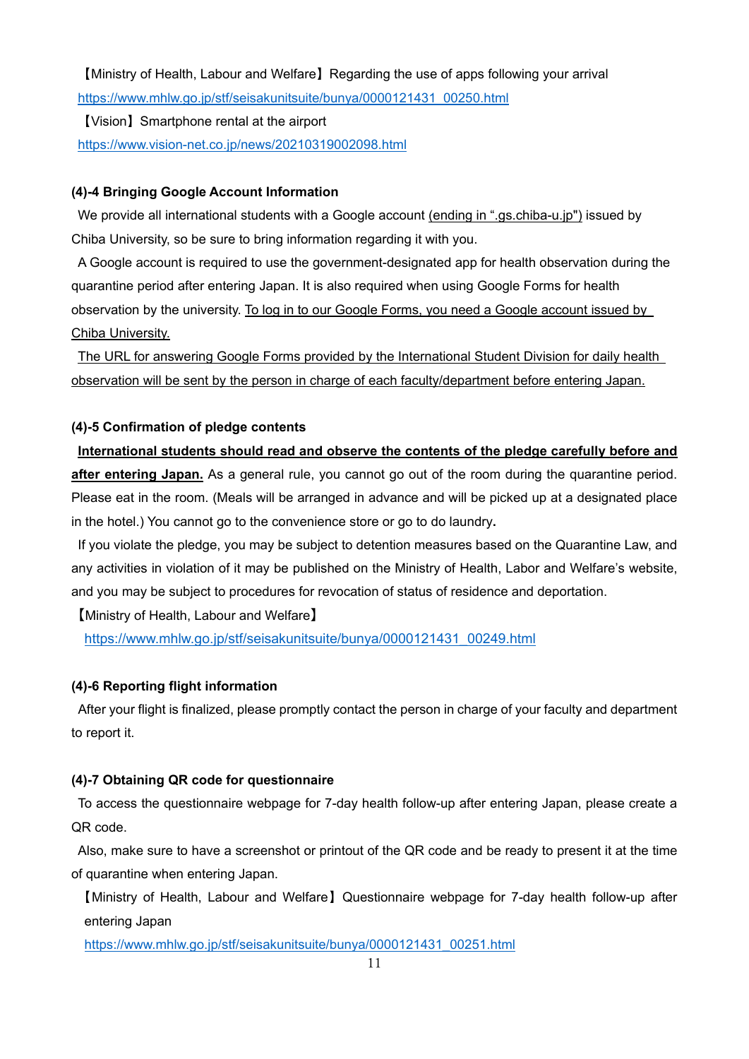【Ministry of Health, Labour and Welfare】Regarding the use of apps following your arrival https://www.mhlw.go.jp/stf/seisakunitsuite/bunya/0000121431\_00250.html

【Vision】Smartphone rental at the airport https://www.vision-net.co.jp/news/20210319002098.html

# **(4)-4 Bringing Google Account Information**

We provide all international students with a Google account (ending in ".gs.chiba-u.jp") issued by Chiba University, so be sure to bring information regarding it with you.

A Google account is required to use the government-designated app for health observation during the quarantine period after entering Japan. It is also required when using Google Forms for health observation by the university. To log in to our Google Forms, you need a Google account issued by Chiba University.

The URL for answering Google Forms provided by the International Student Division for daily health observation will be sent by the person in charge of each faculty/department before entering Japan.

# **(4)-5 Confirmation of pledge contents**

# **International students should read and observe the contents of the pledge carefully before and**

**after entering Japan.** As a general rule, you cannot go out of the room during the quarantine period. Please eat in the room. (Meals will be arranged in advance and will be picked up at a designated place in the hotel.) You cannot go to the convenience store or go to do laundry**.** 

If you violate the pledge, you may be subject to detention measures based on the Quarantine Law, and any activities in violation of it may be published on the Ministry of Health, Labor and Welfare's website, and you may be subject to procedures for revocation of status of residence and deportation.

【Ministry of Health, Labour and Welfare】

https://www.mhlw.go.jp/stf/seisakunitsuite/bunya/0000121431\_00249.html

# **(4)-6 Reporting flight information**

After your flight is finalized, please promptly contact the person in charge of your faculty and department to report it.

# **(4)-7 Obtaining QR code for questionnaire**

To access the questionnaire webpage for 7-day health follow-up after entering Japan, please create a QR code.

Also, make sure to have a screenshot or printout of the QR code and be ready to present it at the time of quarantine when entering Japan.

【Ministry of Health, Labour and Welfare】Questionnaire webpage for 7-day health follow-up after entering Japan

https://www.mhlw.go.jp/stf/seisakunitsuite/bunya/0000121431\_00251.html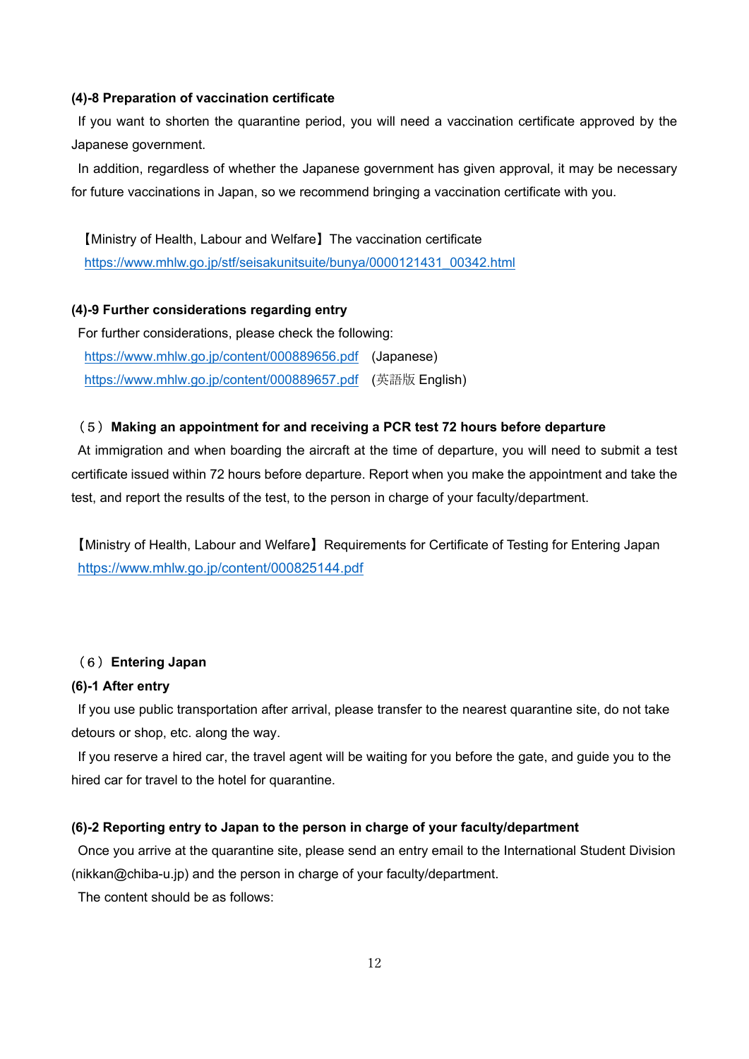#### **(4)-8 Preparation of vaccination certificate**

If you want to shorten the quarantine period, you will need a vaccination certificate approved by the Japanese government.

In addition, regardless of whether the Japanese government has given approval, it may be necessary for future vaccinations in Japan, so we recommend bringing a vaccination certificate with you.

【Ministry of Health, Labour and Welfare】The vaccination certificate https://www.mhlw.go.jp/stf/seisakunitsuite/bunya/0000121431\_00342.html

#### **(4)-9 Further considerations regarding entry**

For further considerations, please check the following: https://www.mhlw.go.jp/content/000889656.pdf (Japanese) https://www.mhlw.go.jp/content/000889657.pdf (英語版 English)

#### (5)**Making an appointment for and receiving a PCR test 72 hours before departure**

At immigration and when boarding the aircraft at the time of departure, you will need to submit a test certificate issued within 72 hours before departure. Report when you make the appointment and take the test, and report the results of the test, to the person in charge of your faculty/department.

【Ministry of Health, Labour and Welfare】Requirements for Certificate of Testing for Entering Japan https://www.mhlw.go.jp/content/000825144.pdf

## (6)**Entering Japan**

#### **(6)-1 After entry**

If you use public transportation after arrival, please transfer to the nearest quarantine site, do not take detours or shop, etc. along the way.

If you reserve a hired car, the travel agent will be waiting for you before the gate, and guide you to the hired car for travel to the hotel for quarantine.

#### **(6)-2 Reporting entry to Japan to the person in charge of your faculty/department**

Once you arrive at the quarantine site, please send an entry email to the International Student Division (nikkan@chiba-u.jp) and the person in charge of your faculty/department.

The content should be as follows: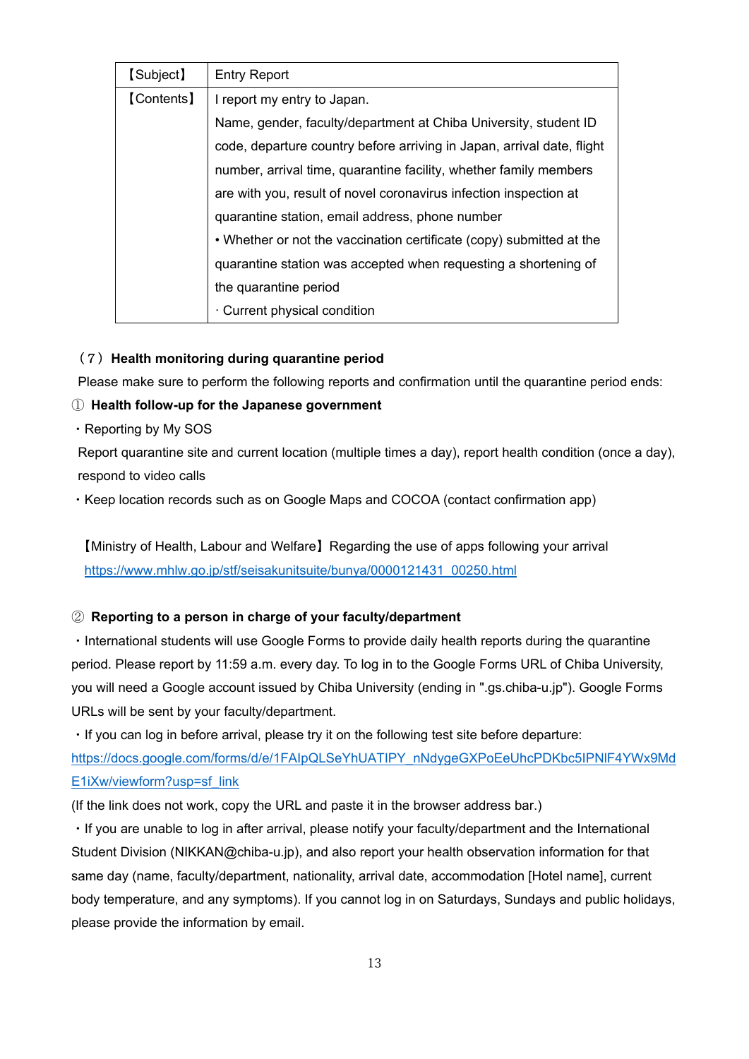| [Subject]                    | <b>Entry Report</b>                                                    |  |  |  |  |
|------------------------------|------------------------------------------------------------------------|--|--|--|--|
| [Contents]                   | I report my entry to Japan.                                            |  |  |  |  |
|                              | Name, gender, faculty/department at Chiba University, student ID       |  |  |  |  |
|                              | code, departure country before arriving in Japan, arrival date, flight |  |  |  |  |
|                              | number, arrival time, quarantine facility, whether family members      |  |  |  |  |
|                              | are with you, result of novel coronavirus infection inspection at      |  |  |  |  |
|                              | quarantine station, email address, phone number                        |  |  |  |  |
|                              | • Whether or not the vaccination certificate (copy) submitted at the   |  |  |  |  |
|                              | quarantine station was accepted when requesting a shortening of        |  |  |  |  |
|                              | the quarantine period                                                  |  |  |  |  |
| · Current physical condition |                                                                        |  |  |  |  |

## (7)**Health monitoring during quarantine period**

Please make sure to perform the following reports and confirmation until the quarantine period ends:

# ① **Health follow-up for the Japanese government**

・Reporting by My SOS

Report quarantine site and current location (multiple times a day), report health condition (once a day), respond to video calls

・Keep location records such as on Google Maps and COCOA (contact confirmation app)

【Ministry of Health, Labour and Welfare】Regarding the use of apps following your arrival https://www.mhlw.go.jp/stf/seisakunitsuite/bunya/0000121431\_00250.html

# ② **Reporting to a person in charge of your faculty/department**

・International students will use Google Forms to provide daily health reports during the quarantine period. Please report by 11:59 a.m. every day. To log in to the Google Forms URL of Chiba University, you will need a Google account issued by Chiba University (ending in ".gs.chiba-u.jp"). Google Forms URLs will be sent by your faculty/department.

・If you can log in before arrival, please try it on the following test site before departure: https://docs.google.com/forms/d/e/1FAIpQLSeYhUATIPY\_nNdygeGXPoEeUhcPDKbc5IPNlF4YWx9Md E1iXw/viewform?usp=sf\_link

(If the link does not work, copy the URL and paste it in the browser address bar.)

・If you are unable to log in after arrival, please notify your faculty/department and the International Student Division (NIKKAN@chiba-u.jp), and also report your health observation information for that same day (name, faculty/department, nationality, arrival date, accommodation [Hotel name], current body temperature, and any symptoms). If you cannot log in on Saturdays, Sundays and public holidays, please provide the information by email.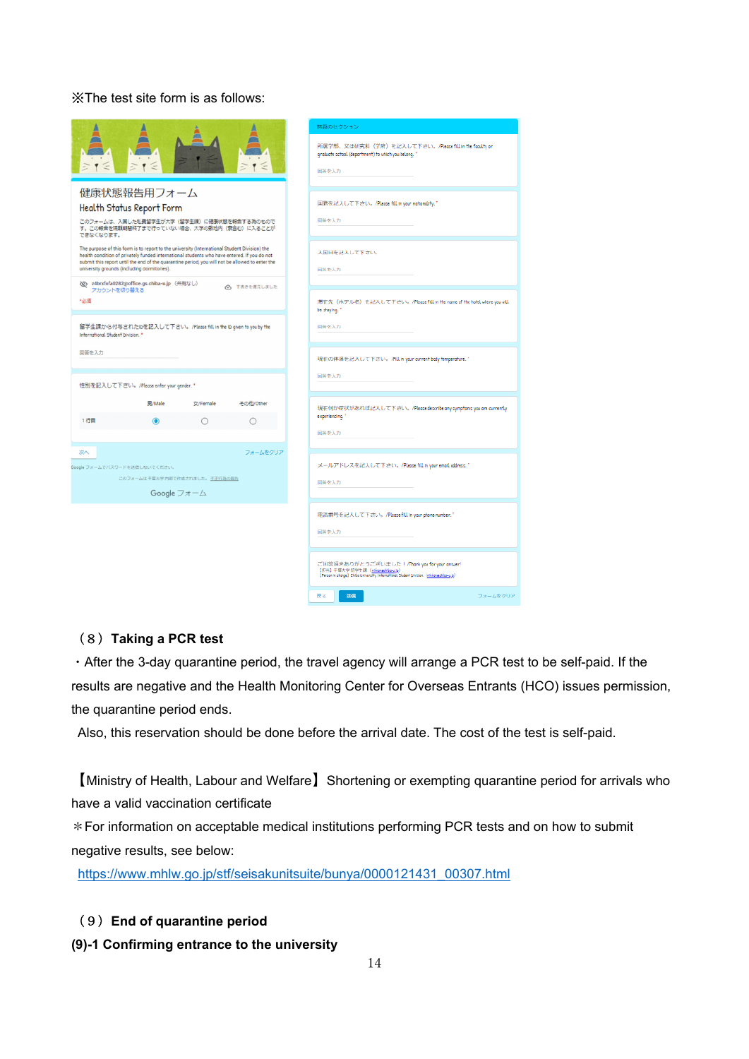## ※The test site form is as follows:

|                                             |                                                                                                                                                                                                                                                                                                |          |              | 無題のセクション                                                                                                                                                                             |
|---------------------------------------------|------------------------------------------------------------------------------------------------------------------------------------------------------------------------------------------------------------------------------------------------------------------------------------------------|----------|--------------|--------------------------------------------------------------------------------------------------------------------------------------------------------------------------------------|
|                                             |                                                                                                                                                                                                                                                                                                |          |              | 所属学部、又は研究科 (学府) を記入して下さい。/Please fill in the faculty or<br>graduate school (department) to which you belong. "                                                                       |
|                                             |                                                                                                                                                                                                                                                                                                |          |              | 回答を入力                                                                                                                                                                                |
|                                             | 健康状態報告用フォーム                                                                                                                                                                                                                                                                                    |          |              |                                                                                                                                                                                      |
|                                             | Health Status Report Form                                                                                                                                                                                                                                                                      |          |              | 国籍を記入して下さい。/Please fill in your nationality."                                                                                                                                        |
| できなくなります。                                   | このフォームは、入国した私費留学生が大学(留学生課)に健康状態を報告する為のもので<br>す。この報告を隔離期間終了まで行っていない場合、大学の敷地内 (寮含む) に入ることが                                                                                                                                                                                                       |          |              | 回答を入力                                                                                                                                                                                |
|                                             | The purpose of this form is to report to the university (International Student Division) the<br>health condition of privately funded international students who have entered. If you do not<br>submit this report until the end of the quarantine period, you will not be allowed to enter the |          |              | 入国日を記入して下さい。                                                                                                                                                                         |
| university grounds (including dormitories). |                                                                                                                                                                                                                                                                                                |          |              | 回答を入力                                                                                                                                                                                |
| アカウントを切り替える                                 | <br>z4brxfofa0282@office.gs.chiba-u.jp (共有なし)                                                                                                                                                                                                                                                  |          | △ 下書きを復元しました |                                                                                                                                                                                      |
| *必須                                         |                                                                                                                                                                                                                                                                                                |          |              | 滞在先 (ホテル名) を記入して下さい。/Please fill in the name of the hotel where you will<br>be staying."                                                                                             |
| International Student Division. *           | 留学生課から付与されたIDを記入して下さい。/Please fill in the ID given to you by the                                                                                                                                                                                                                               |          |              | 回答を入力                                                                                                                                                                                |
| 回答を入力                                       |                                                                                                                                                                                                                                                                                                |          |              | 現在の体温を記入して下さい。/Fill in your current body temperature."                                                                                                                               |
|                                             |                                                                                                                                                                                                                                                                                                |          |              | 回答を入力                                                                                                                                                                                |
|                                             | 性別を記入して下さい。/Please enter your gender. *                                                                                                                                                                                                                                                        |          |              |                                                                                                                                                                                      |
|                                             | 男/Male                                                                                                                                                                                                                                                                                         | 女/Female | その他/Other    | 現在何か症状があれば記入して下さい。/Please describe any symptoms you are currently<br>experiencing. <sup>7</sup>                                                                                      |
| 1行目                                         | ◉                                                                                                                                                                                                                                                                                              |          |              |                                                                                                                                                                                      |
|                                             |                                                                                                                                                                                                                                                                                                |          |              | 回答を入力                                                                                                                                                                                |
| 次へ                                          |                                                                                                                                                                                                                                                                                                |          | フォームをクリア     |                                                                                                                                                                                      |
| Google フォームでバスワードを送信しないでください。               |                                                                                                                                                                                                                                                                                                |          |              | メールアドレスを記入して下さい。/Please fill in your email address."                                                                                                                                 |
|                                             | このフォームは干葉大学内部で作成されました。不正行為の報告                                                                                                                                                                                                                                                                  |          |              | 回答を入力                                                                                                                                                                                |
|                                             | Google フォーム                                                                                                                                                                                                                                                                                    |          |              |                                                                                                                                                                                      |
|                                             |                                                                                                                                                                                                                                                                                                |          |              | 電話番号を記入して下さい。/Please fill in your phone number."                                                                                                                                     |
|                                             |                                                                                                                                                                                                                                                                                                |          |              | 回答を入力                                                                                                                                                                                |
|                                             |                                                                                                                                                                                                                                                                                                |          |              |                                                                                                                                                                                      |
|                                             |                                                                                                                                                                                                                                                                                                |          |              | ご回答頂きありがとうございました!/Thank you for your answer!<br>[504] 干球大学 前学生課 (sikkonedibo-ujp)<br>[Ferson In charge] Chibe University, International Dhalent Division. ( <u>niviamedibo-ujp</u> ) |
|                                             |                                                                                                                                                                                                                                                                                                |          |              | 屋本<br>送信<br>フォームをク                                                                                                                                                                   |

### (8)**Taking a PCR test**

・After the 3-day quarantine period, the travel agency will arrange a PCR test to be self-paid. If the results are negative and the Health Monitoring Center for Overseas Entrants (HCO) issues permission, the quarantine period ends.

Also, this reservation should be done before the arrival date. The cost of the test is self-paid.

【Ministry of Health, Labour and Welfare】Shortening or exempting quarantine period for arrivals who have a valid vaccination certificate

\*For information on acceptable medical institutions performing PCR tests and on how to submit negative results, see below:

https://www.mhlw.go.jp/stf/seisakunitsuite/bunya/0000121431\_00307.html

# (9)**End of quarantine period**

**(9)-1 Confirming entrance to the university**